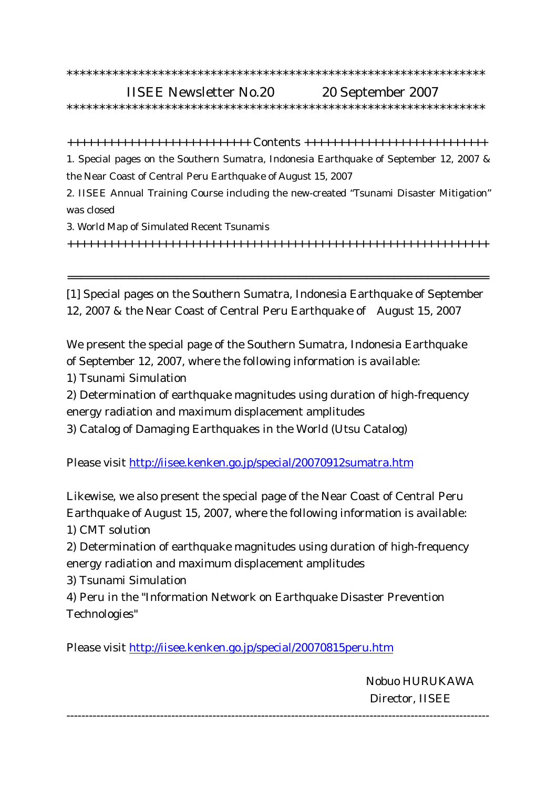## \*\*\*\*\*\*\*\*\*\*\*\*\*\*\*\*\*\*\*\*\*\*\*\*\*\*\*\*\*\*\*\*\*\*\*\*\*\*\*\*\*\*\*\*\*\*\*\*\*\*\*\*\*\*\*\*\*\*\*\*\*\*\*\*

## IISEE Newsletter No.20 20 September 2007

\*\*\*\*\*\*\*\*\*\*\*\*\*\*\*\*\*\*\*\*\*\*\*\*\*\*\*\*\*\*\*\*\*\*\*\*\*\*\*\*\*\*\*\*\*\*\*\*\*\*\*\*\*\*\*\*\*\*\*\*\*\*\*\*

+++++++++++++++++++++++++++ Contents +++++++++++++++++++++++++++

1. Special pages on the Southern Sumatra, Indonesia Earthquake of September 12, 2007 & the Near Coast of Central Peru Earthquake of August 15, 2007

2. IISEE Annual Training Course including the new-created "Tsunami Disaster Mitigation" was closed

3. World Map of Simulated Recent Tsunamis

++++++++++++++++++++++++++++++++++++++++++++++++++++++++++++++

==============================================================

[1] Special pages on the Southern Sumatra, Indonesia Earthquake of September 12, 2007 & the Near Coast of Central Peru Earthquake of August 15, 2007

We present the special page of the Southern Sumatra, Indonesia Earthquake of September 12, 2007, where the following information is available:

1) Tsunami Simulation

2) Determination of earthquake magnitudes using duration of high-frequency energy radiation and maximum displacement amplitudes

3) Catalog of Damaging Earthquakes in the World (Utsu Catalog)

Please visit http://iisee.kenken.go.jp/special/20070912sumatra.htm

Likewise, we also present the special page of the Near Coast of Central Peru Earthquake of August 15, 2007, where the following information is available: 1) CMT solution

2) Determination of earthquake magnitudes using duration of high-frequency energy radiation and maximum displacement amplitudes

3) Tsunami Simulation

4) Peru in the "Information Network on Earthquake Disaster Prevention Technologies"

Please visit http://iisee.kenken.go.jp/special/20070815peru.htm

 Nobuo HURUKAWA Director, IISEE

-----------------------------------------------------------------------------------------------------------------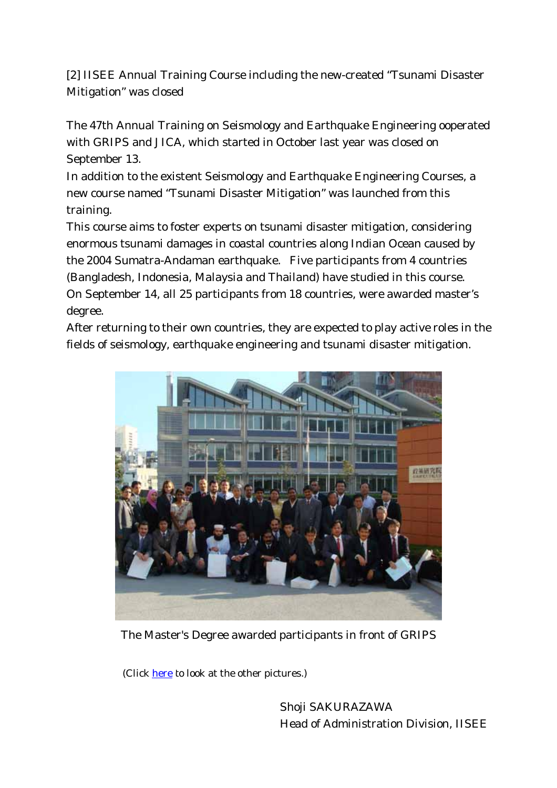[2] IISEE Annual Training Course including the new-created "Tsunami Disaster Mitigation" was closed

The 47th Annual Training on Seismology and Earthquake Engineering ooperated with GRIPS and JICA, which started in October last year was closed on September 13.

In addition to the existent Seismology and Earthquake Engineering Courses, a new course named "Tsunami Disaster Mitigation" was launched from this training.

This course aims to foster experts on tsunami disaster mitigation, considering enormous tsunami damages in coastal countries along Indian Ocean caused by the 2004 Sumatra-Andaman earthquake. Five participants from 4 countries (Bangladesh, Indonesia, Malaysia and Thailand) have studied in this course. On September 14, all 25 participants from 18 countries, were awarded master's degree.

After returning to their own countries, they are expected to play active roles in the fields of seismology, earthquake engineering and tsunami disaster mitigation.



The Master's Degree awarded participants in front of GRIPS

(Click [here t](http://iisee.kenken.go.jp/net/newsletter/iisee-newsletter20.html)o look at the other pictures.)

 Shoji SAKURAZAWA Head of Administration Division, IISEE